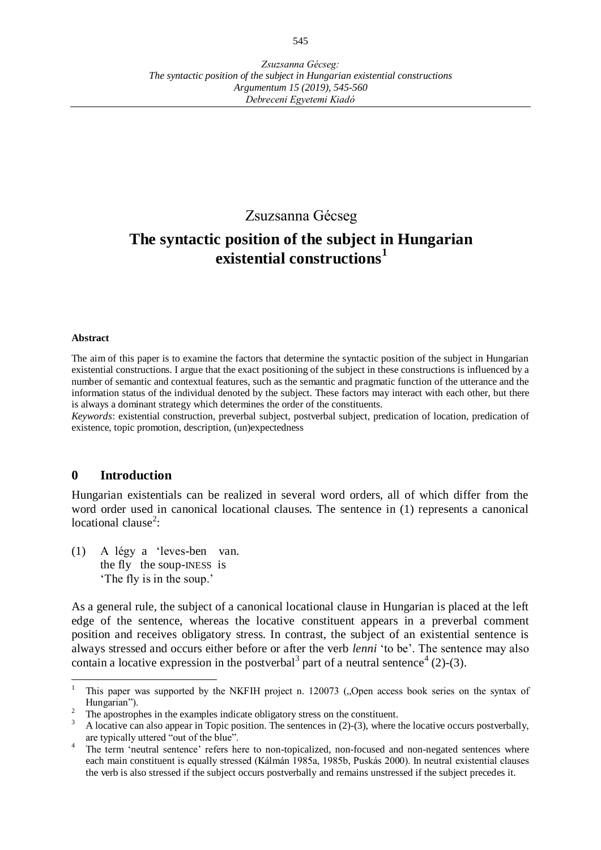# Zsuzsanna Gécseg

# **The syntactic position of the subject in Hungarian existential constructions<sup>1</sup>**

#### **Abstract**

The aim of this paper is to examine the factors that determine the syntactic position of the subject in Hungarian existential constructions. I argue that the exact positioning of the subject in these constructions is influenced by a number of semantic and contextual features, such as the semantic and pragmatic function of the utterance and the information status of the individual denoted by the subject. These factors may interact with each other, but there is always a dominant strategy which determines the order of the constituents.

*Keywords*: existential construction, preverbal subject, postverbal subject, predication of location, predication of existence, topic promotion, description, (un)expectedness

#### **0 Introduction**

Hungarian existentials can be realized in several word orders, all of which differ from the word order used in canonical locational clauses. The sentence in (1) represents a canonical locational clause<sup>2</sup>:

(1) A légy a 'leves-ben van. the fly the soup-INESS is 'The fly is in the soup.'

As a general rule, the subject of a canonical locational clause in Hungarian is placed at the left edge of the sentence, whereas the locative constituent appears in a preverbal comment position and receives obligatory stress. In contrast, the subject of an existential sentence is always stressed and occurs either before or after the verb *lenni* 'to be'. The sentence may also contain a locative expression in the postverbal<sup>3</sup> part of a neutral sentence<sup>4</sup> (2)-(3).

 $\overline{a}$ 1 This paper was supported by the NKFIH project n. 120073 ("Open access book series on the syntax of Hungarian").

<sup>2</sup> The apostrophes in the examples indicate obligatory stress on the constituent.

<sup>3</sup> A locative can also appear in Topic position. The sentences in (2)-(3), where the locative occurs postverbally, are typically uttered "out of the blue".

<sup>4</sup> The term 'neutral sentence' refers here to non-topicalized, non-focused and non-negated sentences where each main constituent is equally stressed (Kálmán 1985a, 1985b, Puskás 2000). In neutral existential clauses the verb is also stressed if the subject occurs postverbally and remains unstressed if the subject precedes it.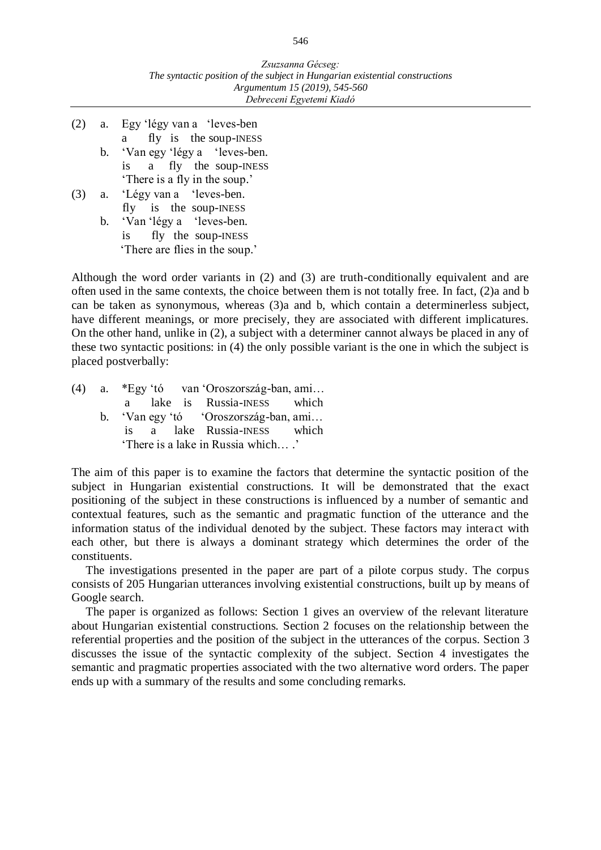- (2) a. Egy 'légy van a 'leves-ben a fly is the soup-INESS b. 'Van egy 'légy a 'leves-ben. is a fly the soup-INESS
- 'There is a fly in the soup.' (3) a. 'Légy van a 'leves-ben.

 fly is the soup-INESS b. 'Van 'légy a 'leves-ben. is fly the soup-INESS 'There are flies in the soup.'

Although the word order variants in (2) and (3) are truth-conditionally equivalent and are often used in the same contexts, the choice between them is not totally free. In fact, (2)a and b can be taken as synonymous, whereas (3)a and b, which contain a determinerless subject, have different meanings, or more precisely, they are associated with different implicatures. On the other hand, unlike in (2), a subject with a determiner cannot always be placed in any of these two syntactic positions: in (4) the only possible variant is the one in which the subject is placed postverbally:

|                                   | $(4)$ a. *Egy 'tó van 'Oroszország-ban, ami |  |  |
|-----------------------------------|---------------------------------------------|--|--|
|                                   | a lake is Russia-INESS which                |  |  |
|                                   | b. 'Van egy 'tó 'Oroszország-ban, ami       |  |  |
|                                   | is a lake Russia-INESS which                |  |  |
| 'There is a lake in Russia which' |                                             |  |  |

The aim of this paper is to examine the factors that determine the syntactic position of the subject in Hungarian existential constructions. It will be demonstrated that the exact positioning of the subject in these constructions is influenced by a number of semantic and contextual features, such as the semantic and pragmatic function of the utterance and the information status of the individual denoted by the subject. These factors may interact with each other, but there is always a dominant strategy which determines the order of the constituents.

The investigations presented in the paper are part of a pilote corpus study. The corpus consists of 205 Hungarian utterances involving existential constructions, built up by means of Google search.

The paper is organized as follows: Section 1 gives an overview of the relevant literature about Hungarian existential constructions. Section 2 focuses on the relationship between the referential properties and the position of the subject in the utterances of the corpus. Section 3 discusses the issue of the syntactic complexity of the subject. Section 4 investigates the semantic and pragmatic properties associated with the two alternative word orders. The paper ends up with a summary of the results and some concluding remarks.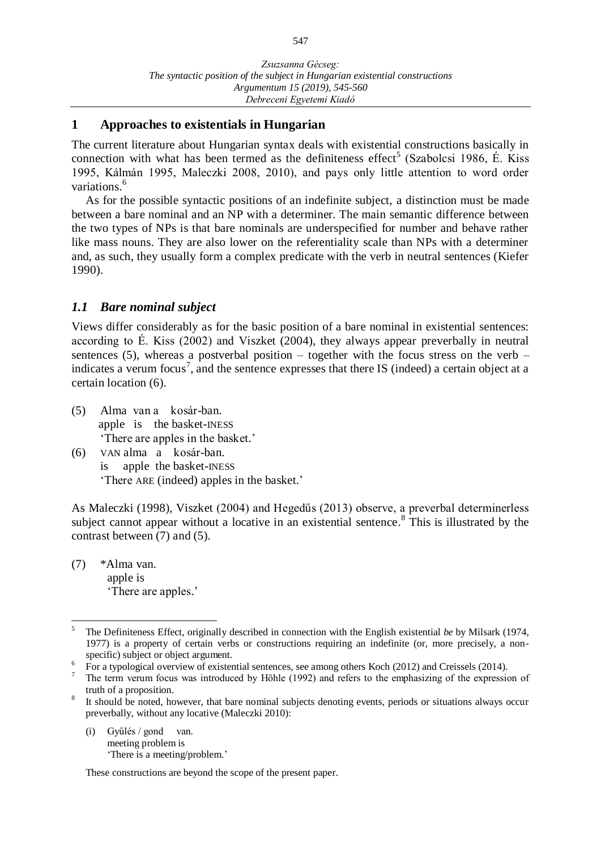#### **1 Approaches to existentials in Hungarian**

The current literature about Hungarian syntax deals with existential constructions basically in connection with what has been termed as the definiteness effect<sup>5</sup> (Szabolcsi 1986, É. Kiss 1995, Kálmán 1995, Maleczki 2008, 2010), and pays only little attention to word order variations. 6

As for the possible syntactic positions of an indefinite subject, a distinction must be made between a bare nominal and an NP with a determiner. The main semantic difference between the two types of NPs is that bare nominals are underspecified for number and behave rather like mass nouns. They are also lower on the referentiality scale than NPs with a determiner and, as such, they usually form a complex predicate with the verb in neutral sentences (Kiefer 1990).

## *1.1 Bare nominal subject*

Views differ considerably as for the basic position of a bare nominal in existential sentences: according to É. Kiss (2002) and Viszket (2004), they always appear preverbally in neutral sentences (5), whereas a postverbal position – together with the focus stress on the verb – indicates a verum focus<sup>7</sup>, and the sentence expresses that there IS (indeed) a certain object at a certain location (6).

- (5) Alma van a kosár-ban. apple is the basket-INESS 'There are apples in the basket.'
- (6) VAN alma a kosár-ban. is apple the basket-INESS 'There ARE (indeed) apples in the basket.'

As Maleczki (1998), Viszket (2004) and Hegedűs (2013) observe, a preverbal determinerless subject cannot appear without a locative in an existential sentence.<sup>8</sup> This is illustrated by the contrast between (7) and (5).

(7) \*Alma van. apple is 'There are apples.'

(i) Gyűlés / gond van. meeting problem is 'There is a meeting/problem.'

These constructions are beyond the scope of the present paper.

 $\overline{a}$ 5 The Definiteness Effect, originally described in connection with the English existential *be* by Milsark (1974, 1977) is a property of certain verbs or constructions requiring an indefinite (or, more precisely, a nonspecific) subject or object argument.

<sup>&</sup>lt;sup>6</sup> For a typological overview of existential sentences, see among others Koch (2012) and Creissels (2014).

The term verum focus was introduced by Höhle (1992) and refers to the emphasizing of the expression of truth of a proposition.

<sup>8</sup> It should be noted, however, that bare nominal subjects denoting events, periods or situations always occur preverbally, without any locative (Maleczki 2010):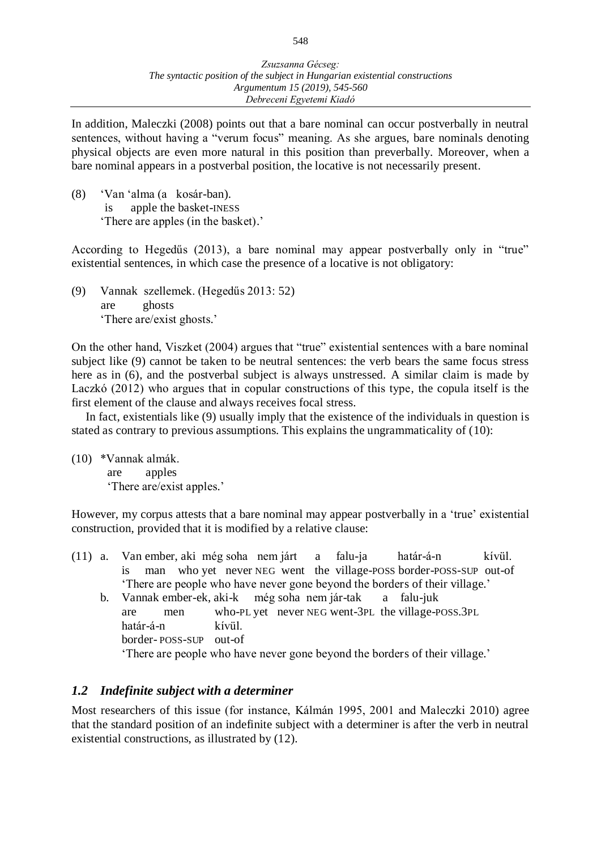In addition, Maleczki (2008) points out that a bare nominal can occur postverbally in neutral sentences, without having a "verum focus" meaning. As she argues, bare nominals denoting physical objects are even more natural in this position than preverbally. Moreover, when a bare nominal appears in a postverbal position, the locative is not necessarily present.

(8) 'Van 'alma (a kosár-ban). is apple the basket-INESS 'There are apples (in the basket).'

According to Hegedűs (2013), a bare nominal may appear postverbally only in "true" existential sentences, in which case the presence of a locative is not obligatory:

(9) Vannak szellemek. (Hegedűs 2013: 52) are ghosts 'There are/exist ghosts.'

On the other hand, Viszket (2004) argues that "true" existential sentences with a bare nominal subject like (9) cannot be taken to be neutral sentences: the verb bears the same focus stress here as in (6), and the postverbal subject is always unstressed. A similar claim is made by Laczkó (2012) who argues that in copular constructions of this type, the copula itself is the first element of the clause and always receives focal stress.

In fact, existentials like (9) usually imply that the existence of the individuals in question is stated as contrary to previous assumptions. This explains the ungrammaticality of (10):

(10) \*Vannak almák. are apples 'There are/exist apples.'

However, my corpus attests that a bare nominal may appear postverbally in a 'true' existential construction, provided that it is modified by a relative clause:

- (11) a. Van ember, aki még soha nem járt a falu-ja határ-á-n kívül. is man who yet never NEG went the village-POSS border-POSS-SUP out-of 'There are people who have never gone beyond the borders of their village.'
	- b. Vannak ember-ek, aki-k még soha nem jár-tak a falu-juk are men who-PL yet never NEG went-3PL the village-POSS.3PL határ-á-n kívül. border- POSS-SUP out-of 'There are people who have never gone beyond the borders of their village.'

## *1.2 Indefinite subject with a determiner*

Most researchers of this issue (for instance, Kálmán 1995, 2001 and Maleczki 2010) agree that the standard position of an indefinite subject with a determiner is after the verb in neutral existential constructions, as illustrated by (12).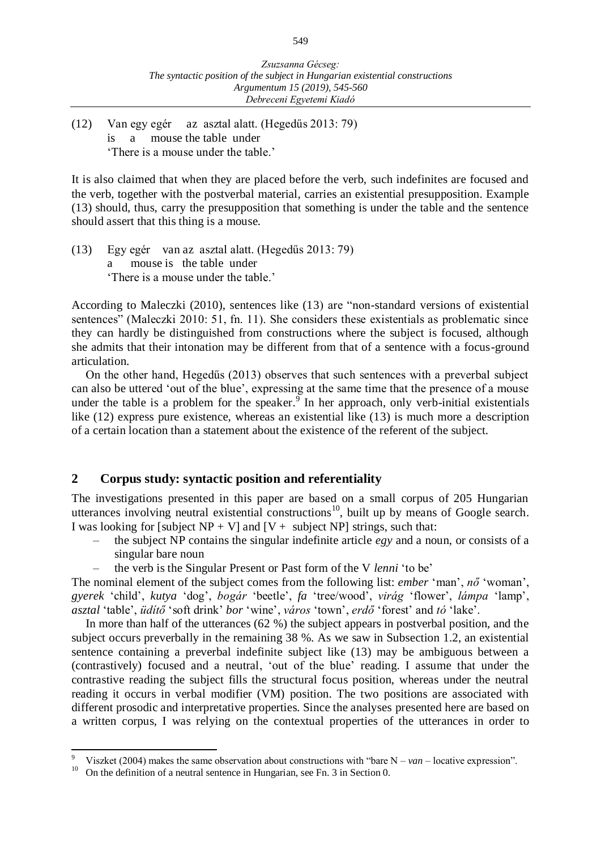(12) Van egy egér az asztal alatt. (Hegedűs 2013: 79) is a mouse the table under 'There is a mouse under the table.'

It is also claimed that when they are placed before the verb, such indefinites are focused and the verb, together with the postverbal material, carries an existential presupposition. Example (13) should, thus, carry the presupposition that something is under the table and the sentence should assert that this thing is a mouse.

(13) Egy egér van az asztal alatt. (Hegedűs 2013: 79) mouse is the table under 'There is a mouse under the table.'

According to Maleczki (2010), sentences like (13) are "non-standard versions of existential sentences" (Maleczki 2010: 51, fn. 11). She considers these existentials as problematic since they can hardly be distinguished from constructions where the subject is focused, although she admits that their intonation may be different from that of a sentence with a focus-ground articulation.

On the other hand, Hegedűs (2013) observes that such sentences with a preverbal subject can also be uttered 'out of the blue', expressing at the same time that the presence of a mouse under the table is a problem for the speaker. In her approach, only verb-initial existentials like (12) express pure existence, whereas an existential like (13) is much more a description of a certain location than a statement about the existence of the referent of the subject.

#### **2 Corpus study: syntactic position and referentiality**

The investigations presented in this paper are based on a small corpus of 205 Hungarian utterances involving neutral existential constructions<sup>10</sup>, built up by means of Google search. I was looking for [subject  $NP + V$ ] and  $[V +$  subject  $NP$ ] strings, such that:

- the subject NP contains the singular indefinite article *egy* and a noun, or consists of a singular bare noun
- the verb is the Singular Present or Past form of the V *lenni* 'to be'

The nominal element of the subject comes from the following list: *ember* 'man', *nő* 'woman', *gyerek* 'child', *kutya* 'dog', *bogár* 'beetle', *fa* 'tree/wood', *virág* 'flower', *lámpa* 'lamp', *asztal* 'table', *üdítő* 'soft drink' *bor* 'wine', *város* 'town', *erdő* 'forest' and *tó* 'lake'.

In more than half of the utterances (62 %) the subject appears in postverbal position, and the subject occurs preverbally in the remaining 38 %. As we saw in Subsection 1.2, an existential sentence containing a preverbal indefinite subject like (13) may be ambiguous between a (contrastively) focused and a neutral, 'out of the blue' reading. I assume that under the contrastive reading the subject fills the structural focus position, whereas under the neutral reading it occurs in verbal modifier (VM) position. The two positions are associated with different prosodic and interpretative properties. Since the analyses presented here are based on a written corpus, I was relying on the contextual properties of the utterances in order to

 $\overline{a}$ 

<sup>9</sup> Viszket (2004) makes the same observation about constructions with "bare N – *van* – locative expression".

<sup>&</sup>lt;sup>10</sup> On the definition of a neutral sentence in Hungarian, see Fn. 3 in Section 0.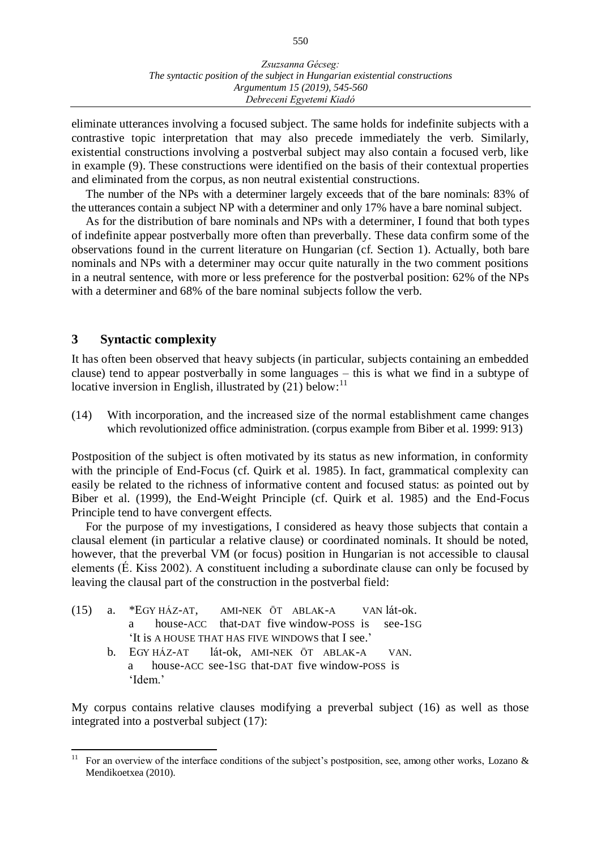eliminate utterances involving a focused subject. The same holds for indefinite subjects with a contrastive topic interpretation that may also precede immediately the verb. Similarly, existential constructions involving a postverbal subject may also contain a focused verb, like in example (9). These constructions were identified on the basis of their contextual properties and eliminated from the corpus, as non neutral existential constructions.

The number of the NPs with a determiner largely exceeds that of the bare nominals: 83% of the utterances contain a subject NP with a determiner and only 17% have a bare nominal subject.

As for the distribution of bare nominals and NPs with a determiner, I found that both types of indefinite appear postverbally more often than preverbally. These data confirm some of the observations found in the current literature on Hungarian (cf. Section 1). Actually, both bare nominals and NPs with a determiner may occur quite naturally in the two comment positions in a neutral sentence, with more or less preference for the postverbal position: 62% of the NPs with a determiner and 68% of the bare nominal subjects follow the verb.

#### **3 Syntactic complexity**

It has often been observed that heavy subjects (in particular, subjects containing an embedded clause) tend to appear postverbally in some languages – this is what we find in a subtype of locative inversion in English, illustrated by (21) below:<sup>11</sup>

(14) With incorporation, and the increased size of the normal establishment came changes which revolutionized office administration. (corpus example from Biber et al. 1999: 913)

Postposition of the subject is often motivated by its status as new information, in conformity with the principle of End-Focus (cf. Quirk et al. 1985). In fact, grammatical complexity can easily be related to the richness of informative content and focused status: as pointed out by Biber et al. (1999), the End-Weight Principle (cf. Quirk et al. 1985) and the End-Focus Principle tend to have convergent effects.

For the purpose of my investigations, I considered as heavy those subjects that contain a clausal element (in particular a relative clause) or coordinated nominals. It should be noted, however, that the preverbal VM (or focus) position in Hungarian is not accessible to clausal elements (É. Kiss 2002). A constituent including a subordinate clause can only be focused by leaving the clausal part of the construction in the postverbal field:

- (15) a. \*EGY HÁZ-AT, AMI-NEK ÖT ABLAK-A VAN lát-ok. a house-ACC that-DAT five window-POSS is see-1SG 'It is A HOUSE THAT HAS FIVE WINDOWS that I see.'
	- b. EGY HÁZ-AT lát-ok, AMI-NEK ÖT ABLAK-A VAN. a house-ACC see-1SG that-DAT five window-POSS is 'Idem.'

My corpus contains relative clauses modifying a preverbal subject (16) as well as those integrated into a postverbal subject (17):

 $11$ <sup>11</sup> For an overview of the interface conditions of the subject's postposition, see, among other works, Lozano & Mendikoetxea (2010).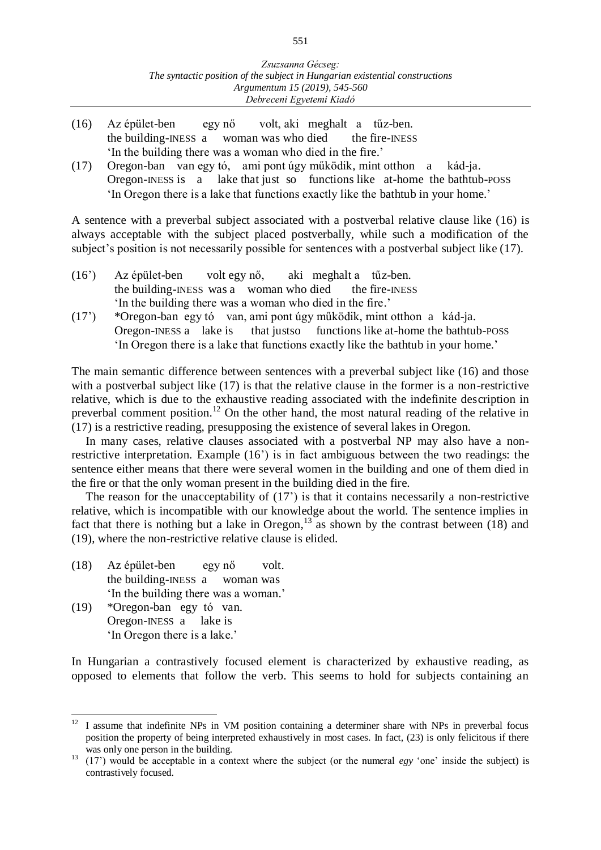- (16) Az épület-ben egy nő volt, aki meghalt a tűz-ben. the building-INESS a woman was who died the fire-INESS 'In the building there was a woman who died in the fire.'
- (17) Oregon-ban van egy tó, ami pont úgy működik, mint otthon a kád-ja. Oregon-INESS is a lake that just so functions like at-home the bathtub-POSS 'In Oregon there is a lake that functions exactly like the bathtub in your home.'

A sentence with a preverbal subject associated with a postverbal relative clause like (16) is always acceptable with the subject placed postverbally, while such a modification of the subject's position is not necessarily possible for sentences with a postverbal subject like (17).

- (16') Az épület-ben volt egy nő, aki meghalt a tűz-ben. the building-INESS was a woman who died the fire-INESS 'In the building there was a woman who died in the fire.'
- (17') \*Oregon-ban egy tó van, ami pont úgy működik, mint otthon a kád-ja. Oregon-INESS a lake is that justso functions like at-home the bathtub-POSS 'In Oregon there is a lake that functions exactly like the bathtub in your home.'

The main semantic difference between sentences with a preverbal subject like (16) and those with a postverbal subject like (17) is that the relative clause in the former is a non-restrictive relative, which is due to the exhaustive reading associated with the indefinite description in preverbal comment position.<sup>12</sup> On the other hand, the most natural reading of the relative in (17) is a restrictive reading, presupposing the existence of several lakes in Oregon.

In many cases, relative clauses associated with a postverbal NP may also have a nonrestrictive interpretation. Example (16') is in fact ambiguous between the two readings: the sentence either means that there were several women in the building and one of them died in the fire or that the only woman present in the building died in the fire.

The reason for the unacceptability of (17') is that it contains necessarily a non-restrictive relative, which is incompatible with our knowledge about the world. The sentence implies in fact that there is nothing but a lake in Oregon,<sup>13</sup> as shown by the contrast between (18) and (19), where the non-restrictive relative clause is elided.

- (18) Az épület-ben egy nő volt. the building-INESS a woman was 'In the building there was a woman.'
- (19) \*Oregon-ban egy tó van. Oregon-INESS a lake is 'In Oregon there is a lake.'

In Hungarian a contrastively focused element is characterized by exhaustive reading, as opposed to elements that follow the verb. This seems to hold for subjects containing an

 $12$ <sup>12</sup> I assume that indefinite NPs in VM position containing a determiner share with NPs in preverbal focus position the property of being interpreted exhaustively in most cases. In fact, (23) is only felicitous if there was only one person in the building.

<sup>&</sup>lt;sup>13</sup> (17') would be acceptable in a context where the subject (or the numeral *egy* 'one' inside the subject) is contrastively focused.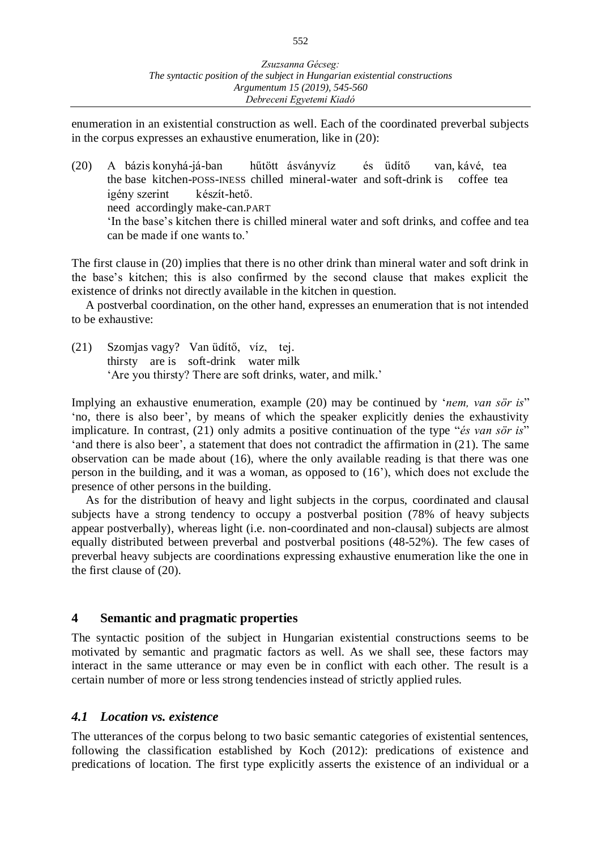enumeration in an existential construction as well. Each of the coordinated preverbal subjects in the corpus expresses an exhaustive enumeration, like in (20):

(20) A bázis konyhá-já-ban hűtött ásványvíz és üdítő van, kávé, tea the base kitchen-POSS-INESS chilled mineral-water and soft-drink is coffee tea igény szerint készít-hető. need accordingly make-can.PART 'In the base's kitchen there is chilled mineral water and soft drinks, and coffee and tea can be made if one wants to.'

The first clause in (20) implies that there is no other drink than mineral water and soft drink in the base's kitchen; this is also confirmed by the second clause that makes explicit the existence of drinks not directly available in the kitchen in question.

A postverbal coordination, on the other hand, expresses an enumeration that is not intended to be exhaustive:

(21) Szomjas vagy? Van üdítő, víz, tej. thirsty are is soft-drink water milk 'Are you thirsty? There are soft drinks, water, and milk.'

Implying an exhaustive enumeration, example (20) may be continued by '*nem, van sör is*" 'no, there is also beer', by means of which the speaker explicitly denies the exhaustivity implicature. In contrast, (21) only admits a positive continuation of the type "*és van sör is*" 'and there is also beer', a statement that does not contradict the affirmation in (21). The same observation can be made about (16), where the only available reading is that there was one person in the building, and it was a woman, as opposed to (16'), which does not exclude the presence of other persons in the building.

As for the distribution of heavy and light subjects in the corpus, coordinated and clausal subjects have a strong tendency to occupy a postverbal position (78% of heavy subjects appear postverbally), whereas light (i.e. non-coordinated and non-clausal) subjects are almost equally distributed between preverbal and postverbal positions (48-52%). The few cases of preverbal heavy subjects are coordinations expressing exhaustive enumeration like the one in the first clause of (20).

#### **4 Semantic and pragmatic properties**

The syntactic position of the subject in Hungarian existential constructions seems to be motivated by semantic and pragmatic factors as well. As we shall see, these factors may interact in the same utterance or may even be in conflict with each other. The result is a certain number of more or less strong tendencies instead of strictly applied rules.

#### *4.1 Location vs. existence*

The utterances of the corpus belong to two basic semantic categories of existential sentences, following the classification established by Koch (2012): predications of existence and predications of location. The first type explicitly asserts the existence of an individual or a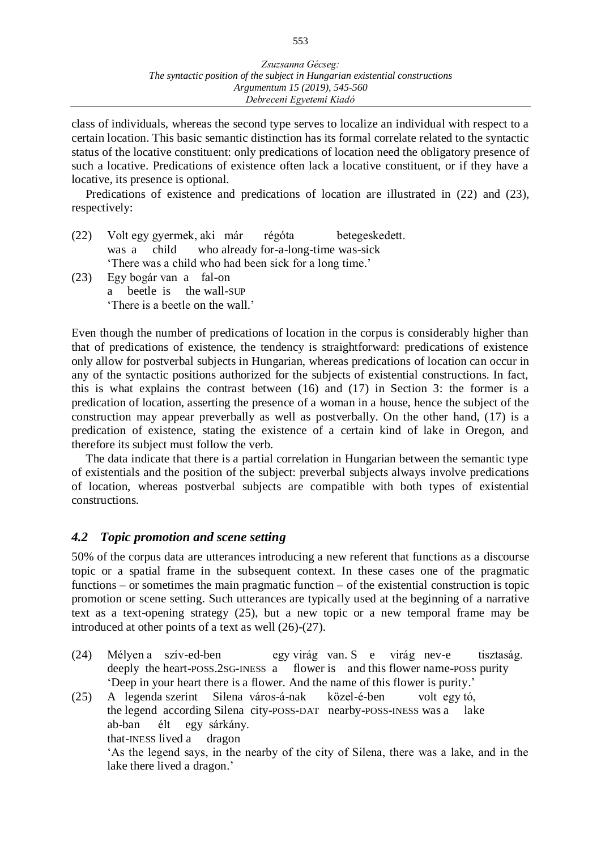class of individuals, whereas the second type serves to localize an individual with respect to a certain location. This basic semantic distinction has its formal correlate related to the syntactic status of the locative constituent: only predications of location need the obligatory presence of such a locative. Predications of existence often lack a locative constituent, or if they have a locative, its presence is optional.

Predications of existence and predications of location are illustrated in (22) and (23), respectively:

| (22) |                                                        |  |  | Volt egy gyermek, aki már régóta betegeskedett. |  |  |
|------|--------------------------------------------------------|--|--|-------------------------------------------------|--|--|
|      | was a child who already for-a-long-time was-sick       |  |  |                                                 |  |  |
|      | 'There was a child who had been sick for a long time.' |  |  |                                                 |  |  |
| (23) | Egy bogár van a fal-on                                 |  |  |                                                 |  |  |

a beetle is the wall-SUP 'There is a beetle on the wall.'

Even though the number of predications of location in the corpus is considerably higher than that of predications of existence, the tendency is straightforward: predications of existence only allow for postverbal subjects in Hungarian, whereas predications of location can occur in any of the syntactic positions authorized for the subjects of existential constructions. In fact, this is what explains the contrast between (16) and (17) in Section 3: the former is a predication of location, asserting the presence of a woman in a house, hence the subject of the construction may appear preverbally as well as postverbally. On the other hand, (17) is a predication of existence, stating the existence of a certain kind of lake in Oregon, and therefore its subject must follow the verb.

The data indicate that there is a partial correlation in Hungarian between the semantic type of existentials and the position of the subject: preverbal subjects always involve predications of location, whereas postverbal subjects are compatible with both types of existential constructions.

#### *4.2 Topic promotion and scene setting*

50% of the corpus data are utterances introducing a new referent that functions as a discourse topic or a spatial frame in the subsequent context. In these cases one of the pragmatic functions – or sometimes the main pragmatic function – of the existential construction is topic promotion or scene setting. Such utterances are typically used at the beginning of a narrative text as a text-opening strategy (25), but a new topic or a new temporal frame may be introduced at other points of a text as well (26)-(27).

- (24) Mélyen a szív-ed-ben egy virág van. S e virág nev-e tisztaság. deeply the heart-POSS.2SG-INESS a flower is and this flower name-POSS purity 'Deep in your heart there is a flower. And the name of this flower is purity.'
- (25) A legenda szerint Silena város-á-nak közel-é-ben volt egy tó, the legend according Silena city-POSS-DAT nearby-POSS-INESS was a lake ab-ban élt egy sárkány. that-INESS lived a dragon 'As the legend says, in the nearby of the city of Silena, there was a lake, and in the lake there lived a dragon.'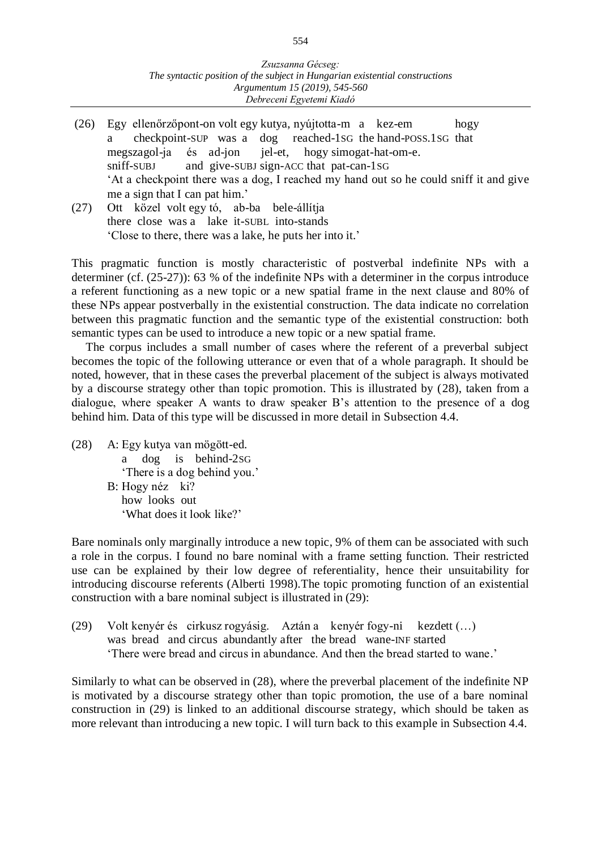- (26) Egy ellenőrzőpont-on volt egy kutya, nyújtotta-m a kez-em hogy a checkpoint-SUP was a dog reached-1SG the hand-POSS.1SG that megszagol-ja és ad-jon jel-et, hogy simogat-hat-om-e. sniff-SUBJ and give-SUBJ sign-ACC that pat-can-1SG 'At a checkpoint there was a dog, I reached my hand out so he could sniff it and give me a sign that I can pat him.'
- (27) Ott közel volt egy tó, ab-ba bele-állítja there close was a lake it-SUBL into-stands 'Close to there, there was a lake, he puts her into it.'

This pragmatic function is mostly characteristic of postverbal indefinite NPs with a determiner (cf. (25-27)): 63 % of the indefinite NPs with a determiner in the corpus introduce a referent functioning as a new topic or a new spatial frame in the next clause and 80% of these NPs appear postverbally in the existential construction. The data indicate no correlation between this pragmatic function and the semantic type of the existential construction: both semantic types can be used to introduce a new topic or a new spatial frame.

The corpus includes a small number of cases where the referent of a preverbal subject becomes the topic of the following utterance or even that of a whole paragraph. It should be noted, however, that in these cases the preverbal placement of the subject is always motivated by a discourse strategy other than topic promotion. This is illustrated by (28), taken from a dialogue, where speaker A wants to draw speaker B's attention to the presence of a dog behind him. Data of this type will be discussed in more detail in Subsection 4.4.

(28) A: Egy kutya van mögött-ed. a dog is behind-2SG 'There is a dog behind you.' B: Hogy néz ki? how looks out 'What does it look like?'

Bare nominals only marginally introduce a new topic, 9% of them can be associated with such a role in the corpus. I found no bare nominal with a frame setting function. Their restricted use can be explained by their low degree of referentiality, hence their unsuitability for introducing discourse referents (Alberti 1998).The topic promoting function of an existential construction with a bare nominal subject is illustrated in (29):

(29) Volt kenyér és cirkusz rogyásig. Aztán a kenyér fogy-ni kezdett (…) was bread and circus abundantly after the bread wane-INF started 'There were bread and circus in abundance. And then the bread started to wane.'

Similarly to what can be observed in (28), where the preverbal placement of the indefinite NP is motivated by a discourse strategy other than topic promotion, the use of a bare nominal construction in (29) is linked to an additional discourse strategy, which should be taken as more relevant than introducing a new topic. I will turn back to this example in Subsection 4.4.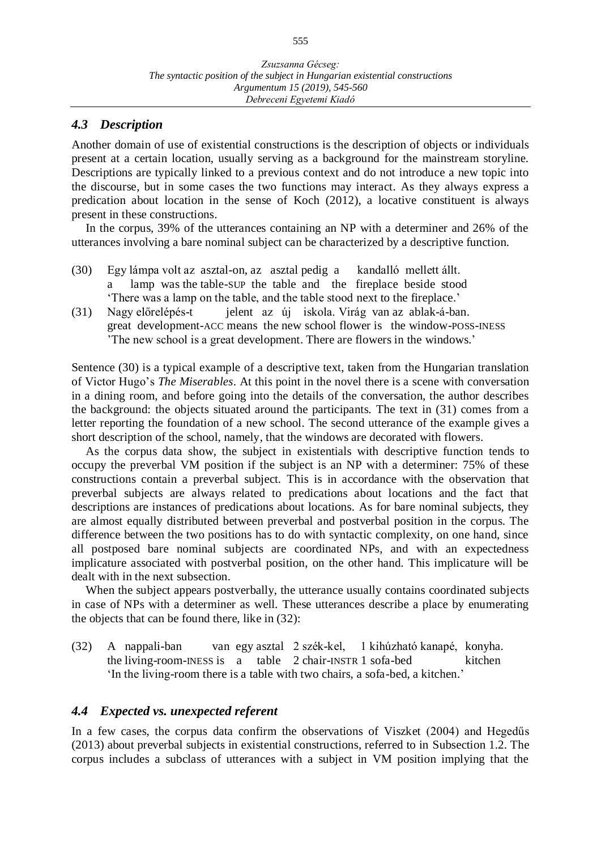#### *4.3 Description*

Another domain of use of existential constructions is the description of objects or individuals present at a certain location, usually serving as a background for the mainstream storyline. Descriptions are typically linked to a previous context and do not introduce a new topic into the discourse, but in some cases the two functions may interact. As they always express a predication about location in the sense of Koch (2012), a locative constituent is always present in these constructions.

In the corpus, 39% of the utterances containing an NP with a determiner and 26% of the utterances involving a bare nominal subject can be characterized by a descriptive function.

- (30) Egy lámpa volt az asztal-on, az asztal pedig a kandalló mellett állt. a lamp was the table-SUP the table and the fireplace beside stood 'There was a lamp on the table, and the table stood next to the fireplace.'
- (31) Nagy előrelépés-t jelent az új iskola. Virág van az ablak-á-ban. great development-ACC means the new school flower is the window-POSS-INESS 'The new school is a great development. There are flowers in the windows.'

Sentence (30) is a typical example of a descriptive text, taken from the Hungarian translation of Victor Hugo's *The Miserables*. At this point in the novel there is a scene with conversation in a dining room, and before going into the details of the conversation, the author describes the background: the objects situated around the participants. The text in (31) comes from a letter reporting the foundation of a new school. The second utterance of the example gives a short description of the school, namely, that the windows are decorated with flowers.

As the corpus data show, the subject in existentials with descriptive function tends to occupy the preverbal VM position if the subject is an NP with a determiner: 75% of these constructions contain a preverbal subject. This is in accordance with the observation that preverbal subjects are always related to predications about locations and the fact that descriptions are instances of predications about locations. As for bare nominal subjects, they are almost equally distributed between preverbal and postverbal position in the corpus. The difference between the two positions has to do with syntactic complexity, on one hand, since all postposed bare nominal subjects are coordinated NPs, and with an expectedness implicature associated with postverbal position, on the other hand. This implicature will be dealt with in the next subsection.

When the subject appears postverbally, the utterance usually contains coordinated subjects in case of NPs with a determiner as well. These utterances describe a place by enumerating the objects that can be found there, like in (32):

(32) A nappali-ban van egy asztal 2 szék-kel, 1 kihúzható kanapé, konyha. the living-room-INESS is a table  $2$  chair-INSTR 1 sofa-bed kitchen 'In the living-room there is a table with two chairs, a sofa-bed, a kitchen.'

#### *4.4 Expected vs. unexpected referent*

In a few cases, the corpus data confirm the observations of Viszket (2004) and Hegedűs (2013) about preverbal subjects in existential constructions, referred to in Subsection 1.2. The corpus includes a subclass of utterances with a subject in VM position implying that the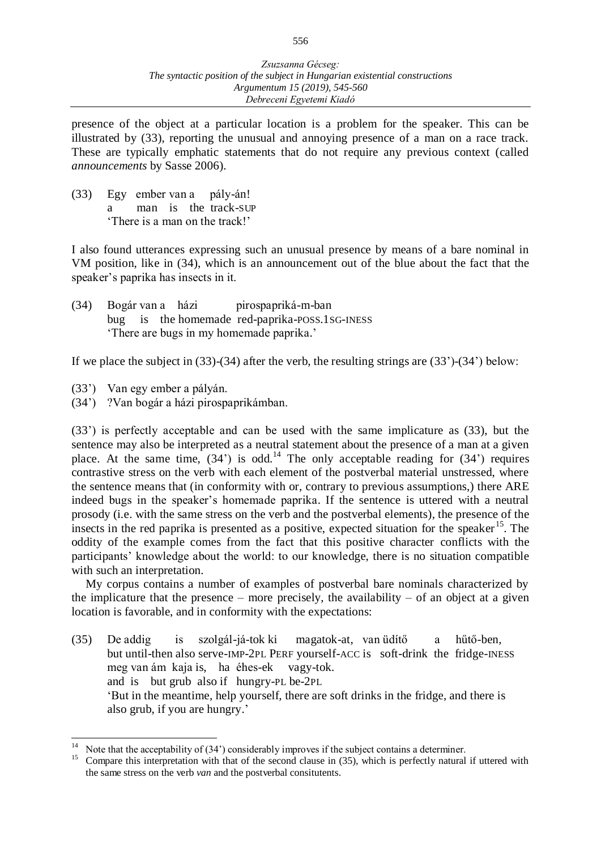presence of the object at a particular location is a problem for the speaker. This can be illustrated by (33), reporting the unusual and annoying presence of a man on a race track. These are typically emphatic statements that do not require any previous context (called *announcements* by Sasse 2006).

(33) Egy ember van a pály-án! a man is the track-SUP 'There is a man on the track!'

I also found utterances expressing such an unusual presence by means of a bare nominal in VM position, like in (34), which is an announcement out of the blue about the fact that the speaker's paprika has insects in it.

(34) Bogár van a házi pirospapriká-m-ban bug is the homemade red-paprika-POSS.1SG-INESS 'There are bugs in my homemade paprika.'

If we place the subject in (33)-(34) after the verb, the resulting strings are (33')-(34') below:

- (33') Van egy ember a pályán.
- (34') ?Van bogár a házi pirospaprikámban.

(33') is perfectly acceptable and can be used with the same implicature as (33), but the sentence may also be interpreted as a neutral statement about the presence of a man at a given place. At the same time,  $(34')$  is odd.<sup>14</sup> The only acceptable reading for  $(34')$  requires contrastive stress on the verb with each element of the postverbal material unstressed, where the sentence means that (in conformity with or, contrary to previous assumptions,) there ARE indeed bugs in the speaker's homemade paprika. If the sentence is uttered with a neutral prosody (i.e. with the same stress on the verb and the postverbal elements), the presence of the insects in the red paprika is presented as a positive, expected situation for the speaker<sup>15</sup>. The oddity of the example comes from the fact that this positive character conflicts with the participants' knowledge about the world: to our knowledge, there is no situation compatible with such an interpretation.

My corpus contains a number of examples of postverbal bare nominals characterized by the implicature that the presence – more precisely, the availability – of an object at a given location is favorable, and in conformity with the expectations:

(35) De addig is szolgál-já-tok ki magatok-at, van üdítő a hűtő-ben*,* but until-then also serve-IMP-2PL PERF yourself-ACC is soft-drink the fridge-INESS meg van ám kaja is, ha éhes-ek vagy-tok. and is but grub also if hungry-PL be-2PL 'But in the meantime, help yourself, there are soft drinks in the fridge, and there is also grub, if you are hungry.'

 $\overline{a}$ <sup>14</sup> Note that the acceptability of  $(34')$  considerably improves if the subject contains a determiner.<br><sup>15</sup> Compare this interpretation with that of the second clause in  $(35)$  which is perfectly natural

<sup>15</sup> Compare this interpretation with that of the second clause in (35), which is perfectly natural if uttered with the same stress on the verb *van* and the postverbal consitutents.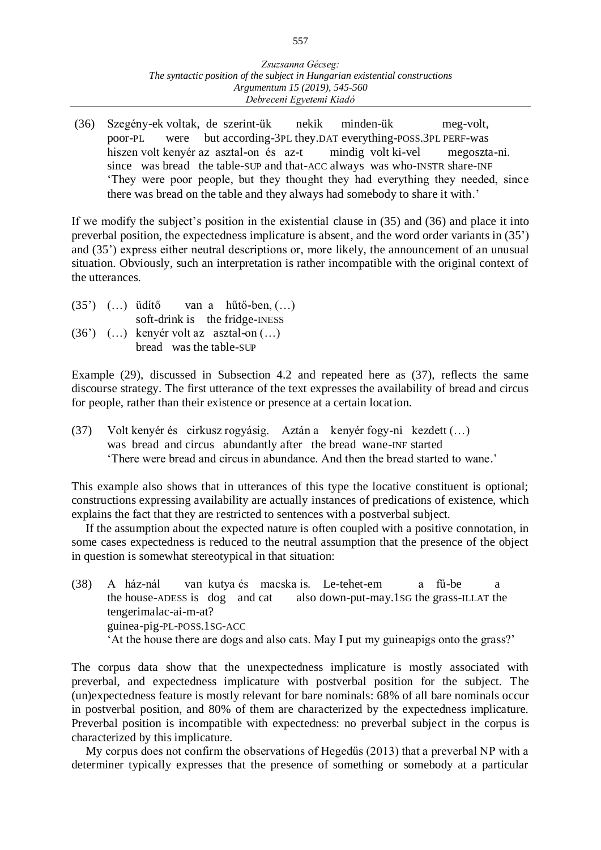(36) Szegény-ek voltak, de szerint-ük nekik minden-ük meg-volt, poor-PL were but according-3PL they.DAT everything-POSS.3PL PERF-was hiszen volt kenyér az asztal-on és az-t mindig volt ki-vel megoszta-ni. since was bread the table-SUP and that-ACC always was who-INSTR share-INF 'They were poor people, but they thought they had everything they needed, since there was bread on the table and they always had somebody to share it with.'

If we modify the subject's position in the existential clause in (35) and (36) and place it into preverbal position, the expectedness implicature is absent, and the word order variants in (35') and (35') express either neutral descriptions or, more likely, the announcement of an unusual situation. Obviously, such an interpretation is rather incompatible with the original context of the utterances.

- (35')  $(\dots)$  üdítő van a hűtő-ben,  $(\dots)$ soft-drink is the fridge-INESS (36') (…) kenyér volt az asztal-on (…)
- bread was the table-SUP

Example (29), discussed in Subsection 4.2 and repeated here as (37), reflects the same discourse strategy. The first utterance of the text expresses the availability of bread and circus for people, rather than their existence or presence at a certain location.

(37) Volt kenyér és cirkusz rogyásig. Aztán a kenyér fogy-ni kezdett (…) was bread and circus abundantly after the bread wane-INF started 'There were bread and circus in abundance. And then the bread started to wane.'

This example also shows that in utterances of this type the locative constituent is optional; constructions expressing availability are actually instances of predications of existence, which explains the fact that they are restricted to sentences with a postverbal subject.

If the assumption about the expected nature is often coupled with a positive connotation, in some cases expectedness is reduced to the neutral assumption that the presence of the object in question is somewhat stereotypical in that situation:

(38) A ház-nál van kutya és macska is. Le-tehet-em a fű-be a the house-ADESS is dog and cat also down-put-may.1SG the grass-ILLAT the tengerimalac-ai-m-at? guinea-pig-PL-POSS.1SG-ACC 'At the house there are dogs and also cats. May I put my guineapigs onto the grass?'

The corpus data show that the unexpectedness implicature is mostly associated with preverbal, and expectedness implicature with postverbal position for the subject. The (un)expectedness feature is mostly relevant for bare nominals: 68% of all bare nominals occur in postverbal position, and 80% of them are characterized by the expectedness implicature. Preverbal position is incompatible with expectedness: no preverbal subject in the corpus is characterized by this implicature.

My corpus does not confirm the observations of Hegedűs (2013) that a preverbal NP with a determiner typically expresses that the presence of something or somebody at a particular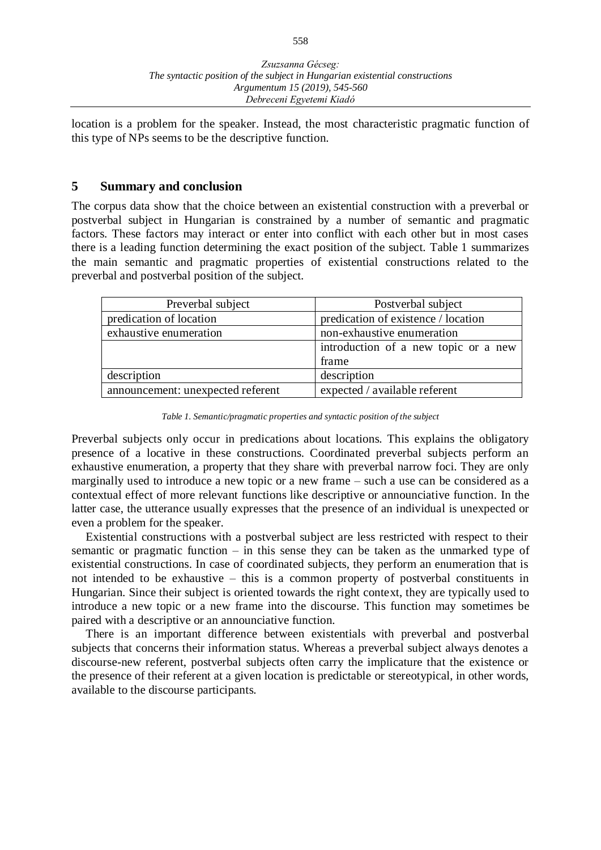location is a problem for the speaker. Instead, the most characteristic pragmatic function of this type of NPs seems to be the descriptive function.

#### **5 Summary and conclusion**

The corpus data show that the choice between an existential construction with a preverbal or postverbal subject in Hungarian is constrained by a number of semantic and pragmatic factors. These factors may interact or enter into conflict with each other but in most cases there is a leading function determining the exact position of the subject. Table 1 summarizes the main semantic and pragmatic properties of existential constructions related to the preverbal and postverbal position of the subject.

| Preverbal subject                 | Postverbal subject                   |  |  |
|-----------------------------------|--------------------------------------|--|--|
| predication of location           | predication of existence / location  |  |  |
| exhaustive enumeration            | non-exhaustive enumeration           |  |  |
|                                   | introduction of a new topic or a new |  |  |
|                                   | frame                                |  |  |
| description                       | description                          |  |  |
| announcement: unexpected referent | expected / available referent        |  |  |

*Table 1. Semantic/pragmatic properties and syntactic position of the subject*

Preverbal subjects only occur in predications about locations. This explains the obligatory presence of a locative in these constructions. Coordinated preverbal subjects perform an exhaustive enumeration, a property that they share with preverbal narrow foci. They are only marginally used to introduce a new topic or a new frame – such a use can be considered as a contextual effect of more relevant functions like descriptive or announciative function. In the latter case, the utterance usually expresses that the presence of an individual is unexpected or even a problem for the speaker.

Existential constructions with a postverbal subject are less restricted with respect to their semantic or pragmatic function – in this sense they can be taken as the unmarked type of existential constructions. In case of coordinated subjects, they perform an enumeration that is not intended to be exhaustive – this is a common property of postverbal constituents in Hungarian. Since their subject is oriented towards the right context, they are typically used to introduce a new topic or a new frame into the discourse. This function may sometimes be paired with a descriptive or an announciative function.

There is an important difference between existentials with preverbal and postverbal subjects that concerns their information status. Whereas a preverbal subject always denotes a discourse-new referent, postverbal subjects often carry the implicature that the existence or the presence of their referent at a given location is predictable or stereotypical, in other words, available to the discourse participants.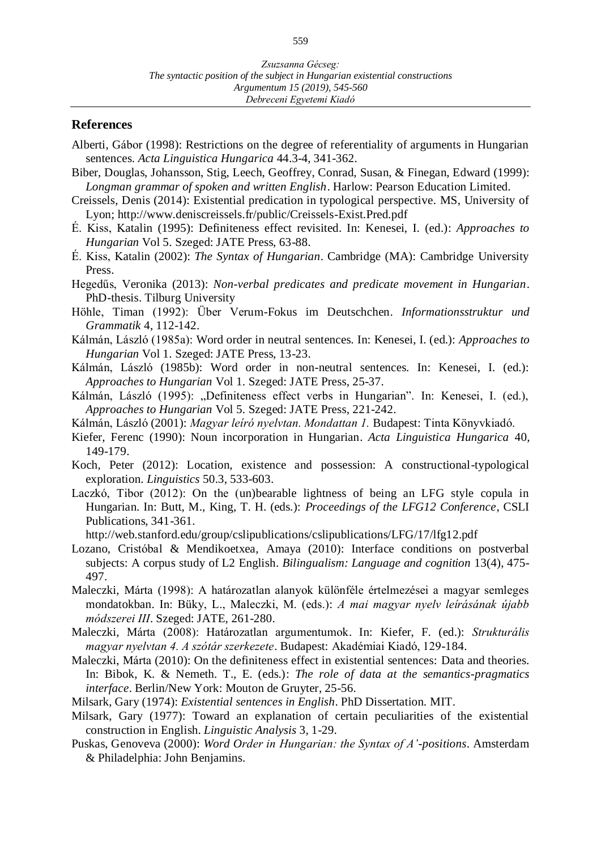#### **References**

- Alberti, Gábor (1998): Restrictions on the degree of referentiality of arguments in Hungarian sentences. *Acta Linguistica Hungarica* 44.3-4, 341-362.
- Biber, Douglas, Johansson, Stig, Leech, Geoffrey, Conrad, Susan, & Finegan, Edward (1999): *Longman grammar of spoken and written English*. Harlow: Pearson Education Limited.
- Creissels, Denis (2014): Existential predication in typological perspective. MS, University of Lyon; http://www.deniscreissels.fr/public/Creissels-Exist.Pred.pdf
- É. Kiss, Katalin (1995): Definiteness effect revisited. In: Kenesei, I. (ed.): *Approaches to Hungarian* Vol 5. Szeged: JATE Press, 63-88.
- É. Kiss, Katalin (2002): *The Syntax of Hungarian*. Cambridge (MA): Cambridge University Press.
- Hegedűs, Veronika (2013): *Non-verbal predicates and predicate movement in Hungarian*. PhD-thesis. Tilburg University
- Höhle, Timan (1992): Über Verum-Fokus im Deutschchen. *Informationsstruktur und Grammatik* 4, 112-142.
- Kálmán, László (1985a): Word order in neutral sentences. In: Kenesei, I. (ed.): *Approaches to Hungarian* Vol 1. Szeged: JATE Press, 13-23.
- Kálmán, László (1985b): Word order in non-neutral sentences. In: Kenesei, I. (ed.): *Approaches to Hungarian* Vol 1. Szeged: JATE Press, 25-37.
- Kálmán, László (1995): "Definiteness effect verbs in Hungarian". In: Kenesei, I. (ed.), *Approaches to Hungarian* Vol 5. Szeged: JATE Press, 221-242.
- Kálmán, László (2001): *Magyar leíró nyelvtan. Mondattan 1.* Budapest: Tinta Könyvkiadó.
- Kiefer, Ferenc (1990): Noun incorporation in Hungarian. *Acta Linguistica Hungarica* 40, 149-179.
- Koch, Peter (2012): Location, existence and possession: A constructional-typological exploration. *Linguistics* 50.3, 533-603.
- Laczkó, Tibor (2012): On the (un)bearable lightness of being an LFG style copula in Hungarian. In: Butt, M., King, T. H. (eds.): *Proceedings of the LFG12 Conference*, CSLI Publications, 341-361.
	- http://web.stanford.edu/group/cslipublications/cslipublications/LFG/17/lfg12.pdf
- Lozano, Cristóbal & Mendikoetxea, Amaya (2010): Interface conditions on postverbal subjects: A corpus study of L2 English. *Bilingualism: Language and cognition* 13(4), 475- 497.
- Maleczki, Márta (1998): A határozatlan alanyok különféle értelmezései a magyar semleges mondatokban. In: Büky, L., Maleczki, M. (eds.): *A mai magyar nyelv leírásának újabb módszerei III*. Szeged: JATE, 261-280.
- Maleczki, Márta (2008): Határozatlan argumentumok. In: Kiefer, F. (ed.): *Strukturális magyar nyelvtan 4. A szótár szerkezete*. Budapest: Akadémiai Kiadó, 129-184.
- Maleczki, Márta (2010): On the definiteness effect in existential sentences: Data and theories. In: Bibok, K. & Nemeth. T., E. (eds.): *The role of data at the semantics-pragmatics interface*. Berlin/New York: Mouton de Gruyter, 25-56.
- Milsark, Gary (1974): *Existential sentences in English*. PhD Dissertation. MIT.
- Milsark, Gary (1977): Toward an explanation of certain peculiarities of the existential construction in English. *Linguistic Analysis* 3, 1-29.
- Puskas, Genoveva (2000): *Word Order in Hungarian: the Syntax of A'-positions*. Amsterdam & Philadelphia: John Benjamins.